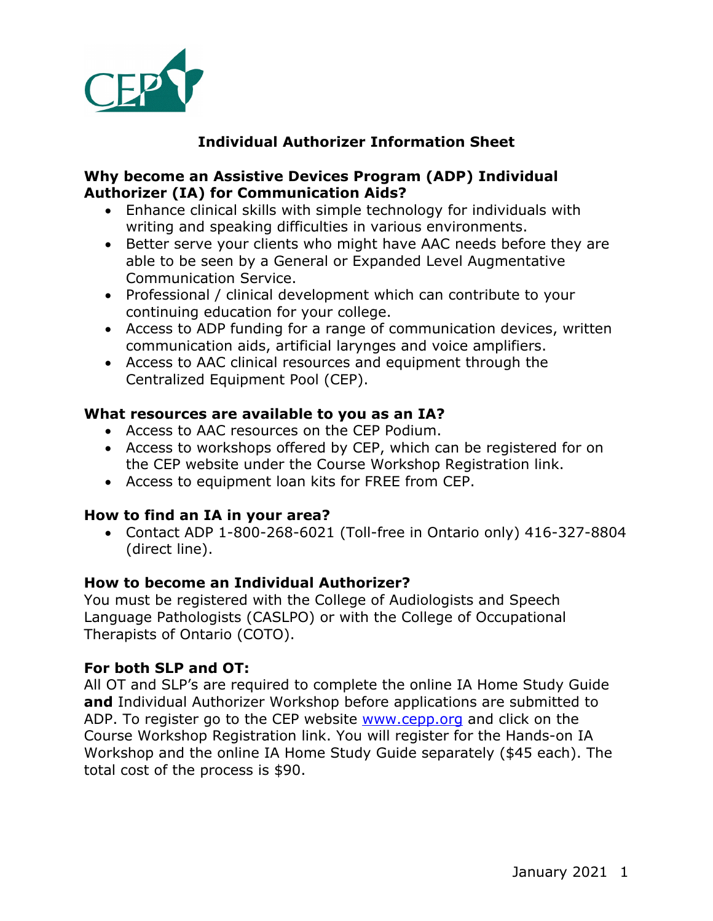

# **Individual Authorizer Information Sheet**

## **Why become an Assistive Devices Program (ADP) Individual Authorizer (IA) for Communication Aids?**

- Enhance clinical skills with simple technology for individuals with writing and speaking difficulties in various environments.
- Better serve your clients who might have AAC needs before they are able to be seen by a General or Expanded Level Augmentative Communication Service.
- Professional / clinical development which can contribute to your continuing education for your college.
- Access to ADP funding for a range of communication devices, written communication aids, artificial larynges and voice amplifiers.
- Access to AAC clinical resources and equipment through the Centralized Equipment Pool (CEP).

## **What resources are available to you as an IA?**

- Access to AAC resources on the CEP Podium.
- Access to workshops offered by CEP, which can be registered for on the CEP website under the Course Workshop Registration link.
- Access to equipment loan kits for FREE from CEP.

# **How to find an IA in your area?**

• Contact ADP 1-800-268-6021 (Toll-free in Ontario only) 416-327-8804 (direct line).

## **How to become an Individual Authorizer?**

You must be registered with the College of Audiologists and Speech Language Pathologists (CASLPO) or with the College of Occupational Therapists of Ontario (COTO).

## **For both SLP and OT:**

All OT and SLP's are required to complete the online IA Home Study Guide **and** Individual Authorizer Workshop before applications are submitted to ADP. To register go to the CEP website www.cepp.org and click on the Course Workshop Registration link. You will register for the Hands-on IA Workshop and the online IA Home Study Guide separately (\$45 each). The total cost of the process is \$90.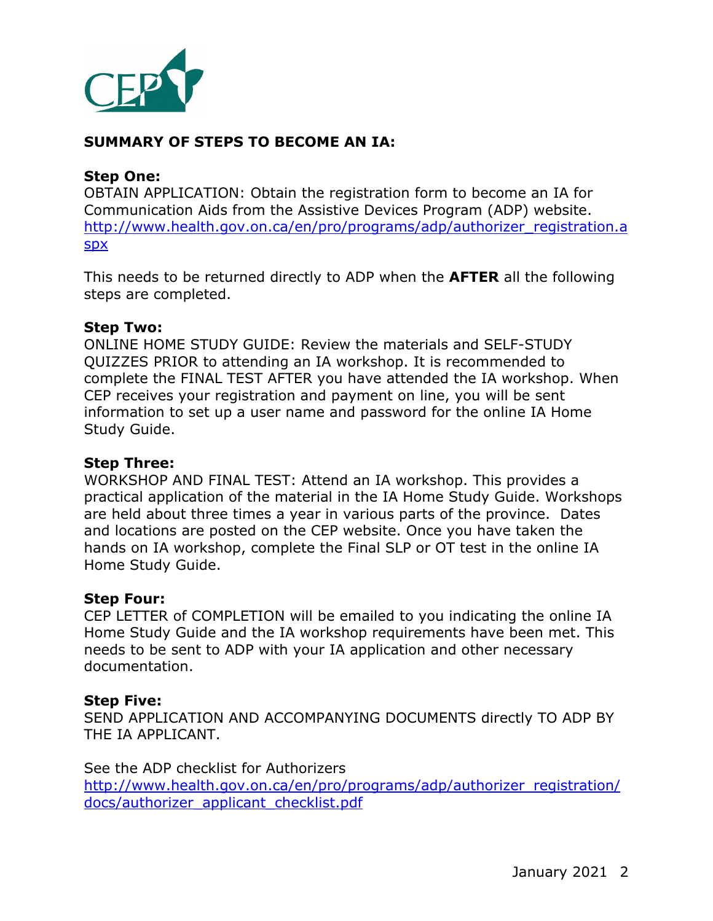

## **SUMMARY OF STEPS TO BECOME AN IA:**

#### **Step One:**

OBTAIN APPLICATION: Obtain the registration form to become an IA for Communication Aids from the Assistive Devices Program (ADP) website. http://www.health.gov.on.ca/en/pro/programs/adp/authorizer\_registration.a spx

This needs to be returned directly to ADP when the **AFTER** all the following steps are completed.

#### **Step Two:**

ONLINE HOME STUDY GUIDE: Review the materials and SELF-STUDY QUIZZES PRIOR to attending an IA workshop. It is recommended to complete the FINAL TEST AFTER you have attended the IA workshop. When CEP receives your registration and payment on line, you will be sent information to set up a user name and password for the online IA Home Study Guide.

#### **Step Three:**

WORKSHOP AND FINAL TEST: Attend an IA workshop. This provides a practical application of the material in the IA Home Study Guide. Workshops are held about three times a year in various parts of the province. Dates and locations are posted on the CEP website. Once you have taken the hands on IA workshop, complete the Final SLP or OT test in the online IA Home Study Guide.

#### **Step Four:**

CEP LETTER of COMPLETION will be emailed to you indicating the online IA Home Study Guide and the IA workshop requirements have been met. This needs to be sent to ADP with your IA application and other necessary documentation.

#### **Step Five:**

SEND APPLICATION AND ACCOMPANYING DOCUMENTS directly TO ADP BY THE IA APPLICANT.

See the ADP checklist for Authorizers http://www.health.gov.on.ca/en/pro/programs/adp/authorizer\_registration/ docs/authorizer\_applicant\_checklist.pdf